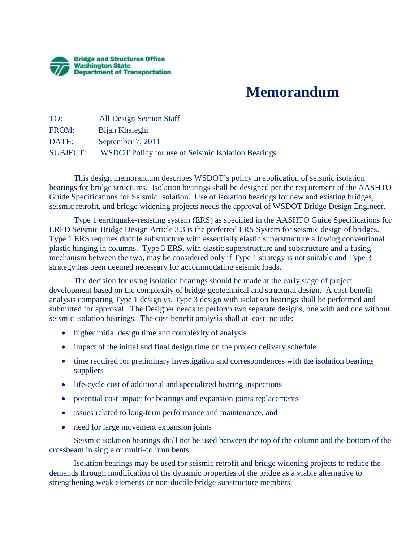

## **Memorandum**

TO: All Design Section Staff FROM: Bijan Khaleghi DATE: September 7, 2011 SUBJECT: WSDOT Policy for use of Seismic Isolation Bearings

 This design memorandum describes WSDOT's policy in application of seismic isolation bearings for bridge structures. Isolation bearings shall be designed per the requirement of the AASHTO Guide Specifications for Seismic Isolation. Use of isolation bearings for new and existing bridges, seismic retrofit, and bridge widening projects needs the approval of WSDOT Bridge Design Engineer.

 Type 1 earthquake-resisting system (ERS) as specified in the AASHTO Guide Specifications for LRFD Seismic Bridge Design Article 3.3 is the preferred ERS System for seismic design of bridges. Type 1 ERS requires ductile substructure with essentially elastic superstructure allowing conventional plastic hinging in columns. Type 3 ERS, with elastic superstructure and substructure and a fusing mechanism between the two, may be considered only if Type 1 strategy is not suitable and Type 3 strategy has been deemed necessary for accommodating seismic loads.

The decision for using isolation bearings should be made at the early stage of project development based on the complexity of bridge geotechnical and structural design. A cost-benefit analysis comparing Type 1 design vs. Type 3 design with isolation bearings shall be performed and submitted for approval. The Designer needs to perform two separate designs, one with and one without seismic isolation bearings. The cost-benefit analysis shall at least include:

- higher initial design time and complexity of analysis
- impact of the initial and final design time on the project delivery schedule
- time required for preliminary investigation and correspondences with the isolation bearings suppliers
- life-cycle cost of additional and specialized bearing inspections
- potential cost impact for bearings and expansion joints replacements
- issues related to long-term performance and maintenance, and
- need for large movement expansion joints

Seismic isolation bearings shall not be used between the top of the column and the bottom of the crossbeam in single or multi-column bents.

 Isolation bearings may be used for seismic retrofit and bridge widening projects to reduce the demands through modification of the dynamic properties of the bridge as a viable alternative to strengthening weak elements or non-ductile bridge substructure members.